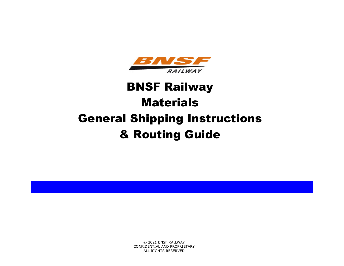

# BNSF Railway **Materials** General Shipping Instructions & Routing Guide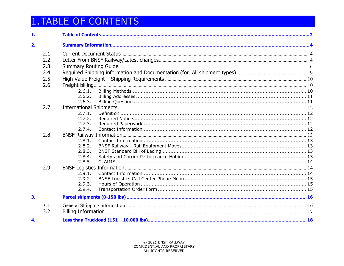# <span id="page-1-0"></span>**1. TABLE OF CONTENTS**

| 1. |      |                  |  |
|----|------|------------------|--|
| 2. |      |                  |  |
|    | 2.1. |                  |  |
|    | 2.2. |                  |  |
|    | 2.3. |                  |  |
|    | 2.4. |                  |  |
|    | 2.5. |                  |  |
|    | 2.6. |                  |  |
|    |      | 2.6.1.           |  |
|    |      | 2.6.2.           |  |
|    |      | 2.6.3.           |  |
|    | 2.7. |                  |  |
|    |      | 2.7.1.           |  |
|    |      | 2.7.2.           |  |
|    |      | 2.7.3.           |  |
|    |      | 2.7.4.           |  |
|    | 2.8. |                  |  |
|    |      | 2.8.1.<br>2.8.2. |  |
|    |      | 2.8.3.           |  |
|    |      | 2.8.4.           |  |
|    |      | 2.8.5.           |  |
|    | 2.9. |                  |  |
|    |      | 2.9.1.           |  |
|    |      | 2.9.2.           |  |
|    |      | 2.9.3.           |  |
|    |      | 2.9.4.           |  |
| 3. |      |                  |  |
|    | 3.1. |                  |  |
|    | 3.2. |                  |  |
| 4. |      |                  |  |
|    |      |                  |  |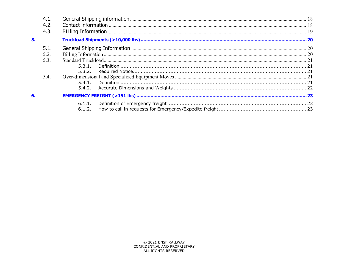|    | 4.1. |        |  |  |
|----|------|--------|--|--|
|    | 4.2. |        |  |  |
|    | 4.3. |        |  |  |
| 5. |      |        |  |  |
|    | 5.1. |        |  |  |
|    | 5.2  |        |  |  |
|    | 5.3. |        |  |  |
|    |      | 5.3.1. |  |  |
|    |      | 5.3.2. |  |  |
|    | 5.4. |        |  |  |
|    |      |        |  |  |
|    |      |        |  |  |
| 6. |      |        |  |  |
|    |      | 6.1.2. |  |  |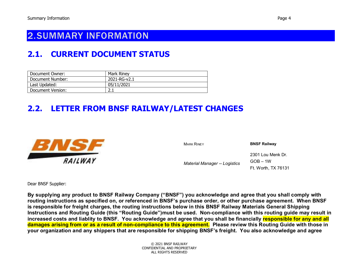# <span id="page-3-0"></span>2.SUMMARY INFORMATION

# <span id="page-3-1"></span>**2.1. CURRENT DOCUMENT STATUS**

| Document Owner:   | Mark Riney   |
|-------------------|--------------|
| Document Number:  | 2021-RG-v2.1 |
| Last Updated:     | 05/11/2021   |
| Document Version: |              |

# <span id="page-3-2"></span>**2.2. LETTER FROM BNSF RAILWAY/LATEST CHANGES**



MARK RINEY **BNSF Railway**

*Material Manager -- Logistics*

 $GOB - 1W$ Ft. Worth, TX 76131

2301 Lou Menk Dr.

Dear BNSF Supplier:

**By supplying any product to BNSF Railway Company ("BNSF") you acknowledge and agree that you shall comply with routing instructions as specified on, or referenced in BNSF's purchase order, or other purchase agreement. When BNSF is responsible for freight charges, the routing instructions below in this BNSF Railway Materials General Shipping Instructions and Routing Guide (this "Routing Guide")must be used. Non-compliance with this routing guide may result in increased costs and liablity to BNSF. You acknowledge and agree that you shall be financially responsible for any and all damages arising from or as a result of non-compliance to this agreement. Please review this Routing Guide with those in your organization and any shippers that are responsible for shipping BNSF's freight. You also acknowledge and agree**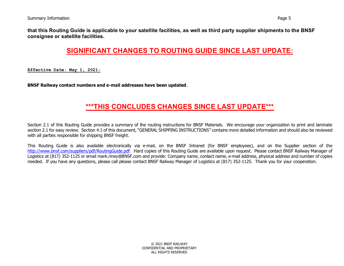**that this Routing Guide is applicable to your satellite facilities, as well as third party supplier shipments to the BNSF consignee or satellite facilities.** 

## **SIGNIFICANT CHANGES TO ROUTING GUIDE SINCE LAST UPDATE:**

**Effective Date: May 1, 2021:**

**BNSF Railway contact numbers and e-mail addresses have been updated.**

### **\*\*\*THIS CONCLUDES CHANGES SINCE LAST UPDATE\*\*\***

Section 2.1 of this Routing Guide provides a summary of the routing instructions for BNSF Materials. We encourage your organization to print and laminate section 2.1 for easy review. Section 4.1 of this document, "GENERAL SHIPPING INSTRUCTIONS" contains more detailed information and should also be reviewed with all parties responsible for shipping BNSF freight.

This Routing Guide is also available electronically via e-mail, on the BNSF Intranet (for BNSF employees), and on the Supplier section of the [http://www.bnsf.com/suppliers/pdf/RoutingGuide.pdf.](http://www.bnsf.com/suppliers/pdf/RoutingGuide.pdf) Hard copies of this Routing Guide are available upon request. Please contact BNSF Railway Manager of Logistics at (817) 352-1125 or email mark.riney@BNSF.com and provide: Company name, contact name, e-mail address, physical address and number of copies needed. If you have any questions, please call please contact BNSF Railway Manager of Logistics at (817) 352-1125. Thank you for your cooperation.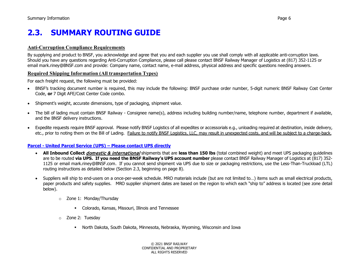# <span id="page-5-0"></span>**2.3. SUMMARY ROUTING GUIDE**

#### **Anti-Corruption Compliance Requirements**

By supplying and product to BNSF, you acknowledge and agree that you and each supplier you use shall comply with all applicable anti-corruption laws. Should you have any questions regarding Anti-Corruption Compliance, please call please contact BNSF Railway Manager of Logistics at (817) 352-1125 or email mark.riney@BNSF.com and provide: Company name, contact name, e-mail address, physical address and specific questions needing answers.

#### **Required Shipping Information (All transportation Types)**

For each freight request, the following must be provided:

- BNSF's tracking document number is required, this may include the following: BNSF purchase order number, 5-digit numeric BNSF Railway Cost Center Code, **or** 7 Digit AFE/Cost Center Code combo.
- Shipment's weight, accurate dimensions, type of packaging, shipment value.
- The bill of lading must contain BNSF Railway Consignee name(s), address including building number/name, telephone number, department if available, and the BNSF delivery instructions.
- Expedite requests require BNSF approval. Please notify BNSF Logistics of all expedites or accessorials e.g., unloading required at destination, inside delivery, etc., prior to noting them on the Bill of Lading. Failure to notify BNSF Logistics, LLC, may result in unexpected costs, and will be subject to a charge-back.

#### **Parcel - [United Parcel Service \(UPS\) –](#page-15-0) Please contact UPS directly**

- **All Inbound Collect** domestic & international shipments that are **less than 150 lbs** (total combined weight) and meet UPS packaging guidelines are to be routed **via UPS. If you need the BNSF Railway's UPS account number** please contact BNSF Railway Manager of Logistics at (817) 352- 1125 or email mark.riney@BNSF.com.If you cannot send shipment via UPS due to size or packaging restrictions, use the Less-Than-Truckload (LTL) routing instructions as detailed below (Section 2.3, beginning on page 8).
- Suppliers will ship to end-users on a once-per-week schedule. MRO materials include (but are not limited to…) items such as small electrical products, paper products and safety supplies. MRO supplier shipment dates are based on the region to which each "ship to" address is located (see zone detail below).
	- o Zone 1: Monday/Thursday
		- Colorado, Kansas, Missouri, Illinois and Tennessee
	- o Zone 2: Tuesday
		- North Dakota, South Dakota, Minnesota, Nebraska, Wyoming, Wisconsin and Iowa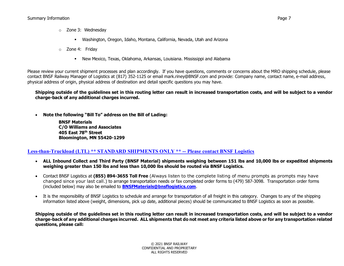- o Zone 3: Wednesday
	- Washington, Oregon, Idaho, Montana, California, Nevada, Utah and Arizona
- o Zone 4: Friday
	- New Mexico, Texas, Oklahoma, Arkansas, Louisiana. Mississippi and Alabama

Please review your current shipment processes and plan accordingly. If you have questions, comments or concerns about the MRO shipping schedule, please contact BNSF Railway Manager of Logistics at (817) 352-1125 or email mark.riney@BNSF.com and provide: Company name, contact name, e-mail address, physical address of origin, physical address of destination and detail specific questions you may have.

**Shipping outside of the guidelines set in this routing letter can result in increased transportation costs, and will be subject to a vendor charge-back of any additional charges incurred.** 

• **Note the following "Bill To" address on the Bill of Lading:**

**BNSF Materials C/O Williams and Associates 405 East 78th Street Bloomington, MN 55420-1299**

#### **Less-than-Truckload (LTL) \*\* STANDARD SHIPMENTS ONLY \*\* -- Please contact BNSF Logistics**

- **ALL Inbound Collect and Third Party (BNSF Material) shipments weighing between 151 lbs and 10,000 lbs or expedited shipments weighing greater than 150 lbs and less than 10,000 lbs should be routed via BNSF Logistics.**
- Contact BNSF Logistics at **(855) 894-3655 Toll Free** (Always listen to the complete listing of menu prompts as prompts may have changed since your last call.) to arrange transportation needs or fax completed order forms to (479) 587-3098. Transportation order forms (included below) may also be emailed to **[BNSFMaterials@bnsflogistics.com](mailto:BNSFMaterials@bnsflogistics.com)**.
- It is the responsibility of BNSF Logistics to schedule and arrange for transportation of all freight in this category. Changes to any of the shipping information listed above (weight, dimensions, pick up date, additional pieces) should be communicated to BNSF Logistics as soon as possible.

**Shipping outside of the guidelines set in this routing letter can result in increased transportation costs, and will be subject to a vendor charge-back of any additional charges incurred. ALL shipments that do not meet any criteria listed above or for any transportation related questions, please call:**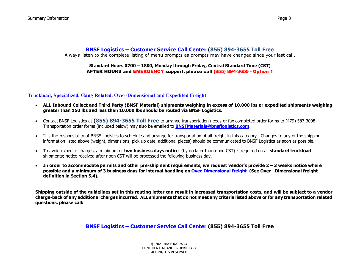#### **BNSF Logistics – [Customer Service Call Center](#page-13-2) (855) 894-3655 Toll Free** Always listen to the complete listing of menu prompts as prompts may have changed since your last call.

#### **Standard Hours 0700 – 1800, Monday through Friday, Central Standard Time (CST)** AFTER HOURS and EMERGENCY support, please call (855) 894-3655 - Option 1

#### **[Truckload, Specialized, Gang Related, Over-Dimensional](#page-19-0) and Expedited Freight**

- **ALL Inbound Collect and Third Party (BNSF Material) shipments weighing in excess of 10,000 lbs or expedited shipments weighing greater than 150 lbs and less than 10,000 lbs should be routed via BNSF Logistics.**
- Contact BNSF Logistics at **(855) 894-3655 Toll Free** to arrange transportation needs or fax completed order forms to (479) 587-3098. Transportation order forms (included below) may also be emailed to **[BNSFMaterials@bnsflogistics.com](mailto:BNSFMaterials@bnsflogistics.com)**.
- It is the responsibility of BNSF Logistics to schedule and arrange for transportation of all freight in this category. Changes to any of the shipping information listed above (weight, dimensions, pick up date, additional pieces) should be communicated to BNSF Logistics as soon as possible.
- To avoid expedite charges, a minimum of **two business days notice** (by no later than noon CST) is required on all **standard truckload** shipments; notice received after noon CST will be processed the following business day.
- **In order to accommodate permits and other pre-shipment requirements, we request vendor's provide 2 – 3 weeks notice where possible and a minimum of 3 business days for internal handling o[n Over-Dimensional freight](#page-20-3) (See Over –Dimensional freight definition in Section 5.4).**

**Shipping outside of the guidelines set in this routing letter can result in increased transportation costs, and will be subject to a vendor charge-back of any additional charges incurred. ALL shipments that do not meet any criteria listed above or for any transportation related questions, please call:**

**BNSF Logistics – [Customer Service Call Center](#page-13-2) (855) 894-3655 Toll Free**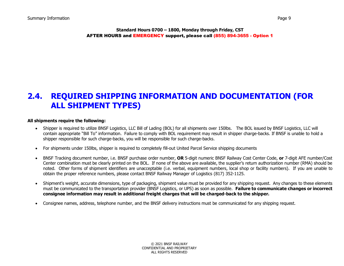**Standard Hours 0700 – 1800, Monday through Friday, CST** AFTER HOURS and EMERGENCY support, please call (855) 894-3655 - Option 1

# <span id="page-8-0"></span>**2.4. REQUIRED SHIPPING INFORMATION AND DOCUMENTATION (FOR ALL SHIPMENT TYPES)**

#### **All shipments require the following:**

- Shipper is required to utilize BNSF Logistics, LLC Bill of Lading (BOL) for all shipments over 150lbs. The BOL issued by BNSF Logistics, LLC will contain appropriate "Bill To" information. Failure to comply with BOL requirement may result in shipper charge-backs. If BNSF is unable to hold a shipper responsible for such charge-backs, you will be responsible for such charge-backs.
- For shipments under 150lbs, shipper is required to completely fill-out United Parcel Service shipping documents
- BNSF Tracking document number, i.e. BNSF purchase order number, **OR** 5-digit numeric BNSF Railway Cost Center Code, **or** 7-digit AFE number/Cost Center combination must be clearly printed on the BOL. If none of the above are available, the supplier's return authorization number (RMA) should be noted. Other forms of shipment identifiers are unacceptable (i.e. verbal, equipment numbers, local shop or facility numbers). If you are unable to obtain the proper reference numbers, please contact BNSF Railway Manager of Logistics (817) 352-1125.
- Shipment's weight, accurate dimensions, type of packaging, shipment value must be provided for any shipping request. Any changes to these elements must be communicated to the transportation provider (BNSF Logistics, or UPS) as soon as possible. **Failure to communicate changes or incorrect consignee information may result in additional freight charges that will be charged-back to the shipper.**
- Consignee names, address, telephone number, and the BNSF delivery instructions must be communicated for any shipping request.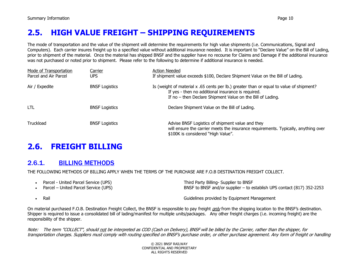# <span id="page-9-0"></span>**2.5. HIGH VALUE FREIGHT – SHIPPING REQUIREMENTS**

The mode of transportation and the value of the shipment will determine the requirements for high value shipments (i.e. Communications, Signal and Computers). Each carrier insures freight up to a specified value without additional insurance needed. It is important to "Declare Value" on the Bill of Lading, prior to shipment of the material. Once the material has shipped BNSF and the supplier have no recourse for Claims and Damage if the additional insurance was not purchased or noted prior to shipment. Please refer to the following to determine if additional insurance is needed.

| Mode of Transportation<br>Parcel and Air Parcel | Carrier<br>UPS.       | <b>Action Needed</b><br>If shipment value exceeds \$100, Declare Shipment Value on the Bill of Lading.                                                                                                      |
|-------------------------------------------------|-----------------------|-------------------------------------------------------------------------------------------------------------------------------------------------------------------------------------------------------------|
| Air / Expedite                                  | <b>BNSF Logistics</b> | Is (weight of material x .65 cents per lb.) greater than or equal to value of shipment?<br>If yes - then no additional insurance is required.<br>If no – then Declare Shipment Value on the Bill of Lading. |
| <b>LTL</b>                                      | <b>BNSF Logistics</b> | Declare Shipment Value on the Bill of Lading.                                                                                                                                                               |
| Truckload                                       | <b>BNSF Logistics</b> | Advise BNSF Logistics of shipment value and they<br>will ensure the carrier meets the insurance requirements. Typically, anything over<br>\$100K is considered "High Value".                                |

# <span id="page-9-1"></span>**2.6. FREIGHT BILLING**

## <span id="page-9-2"></span>2.6.1. BILLING METHODS

THE FOLLOWING METHODS OF BILLING APPLY WHEN THE TERMS OF THE PURCHASE ARE F.O.B DESTINATION FREIGHT COLLECT.

- Parcel United Parcel Service (UPS) Third Party Billing- Supplier to BNSF BNSF to BNSF and/or supplier – to establish UPS contact (817) 352-2253
- 

• Rail Guidelines provided by Equipment Management

On material purchased F.O.B. Destination Freight Collect, the BNSF is responsible to pay freight *only* from the shipping location to the BNSF's destination. Shipper is required to issue a consolidated bill of lading/manifest for multiple units/packages. Any other freight charges (i.e. incoming freight) are the responsibility of the shipper.

Note: The term "COLLECT", should not be interpreted as COD (Cash on Delivery), BNSF will be billed by the Carrier, rather than the shipper, for transportation charges. Suppliers must comply with routing specified on BNSF's purchase order, or other purchase agreement. Any form of freight or handling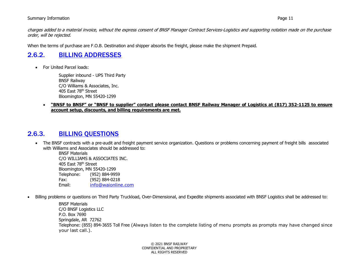#### Summary Information Page 11

charges added to a material invoice, without the express consent of BNSF Manager Contract Services-Logistics and supporting notation made on the purchase order, will be rejected.

When the terms of purchase are F.O.B. Destination and shipper absorbs the freight, please make the shipment Prepaid.

## <span id="page-10-0"></span>2.6.2. BILLING ADDRESSES

• For United Parcel loads:

Supplier inbound - UPS Third Party BNSF Railway C/O Williams & Associates, Inc. 405 East 78th Street Bloomington, MN 55420-1299

• **"BNSF to BNSF" or "BNSF to supplier" contact please contact BNSF Railway Manager of Logistics at (817) 352-1125 to ensure account setup, discounts, and billing requirements are met.**

#### <span id="page-10-1"></span>2.6.3. BILLING QUESTIONS

• The BNSF contracts with a pre-audit and freight payment service organization. Questions or problems concerning payment of freight bills associated with Williams and Associates should be addressed to:

BNSF Materials C/O WILLIAMS & ASSOCIATES INC. 405 East 78th Street Bloomington, MN 55420-1299<br>Telephone: (952) 884-995 (952) 884-9959 Fax: (952) 884-0218 Email: [info@waionline.com](mailto:info@waionline.com)

• Billing problems or questions on Third Party Truckload, Over-Dimensional, and Expedite shipments associated with BNSF Logistics shall be addressed to:

BNSF Materials C/O BNSF Logistics LLC P.O. Box 7690 Springdale, AR 72762 Telephone: (855) 894-3655 Toll Free (Always listen to the complete listing of menu prompts as prompts may have changed since your last call.).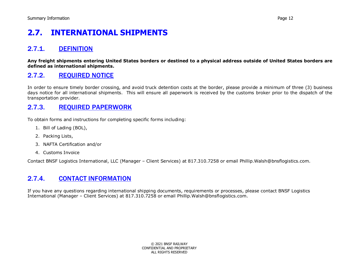# <span id="page-11-0"></span>**2.7. INTERNATIONAL SHIPMENTS**

## <span id="page-11-1"></span>2.7.1. DEFINITION

**Any freight shipments entering United States borders or destined to a physical address outside of United States borders are defined as international shipments.**

## <span id="page-11-2"></span>2.7.2. REQUIRED NOTICE

In order to ensure timely border crossing, and avoid truck detention costs at the border, please provide a minimum of three (3) business days notice for all international shipments. This will ensure all paperwork is received by the customs broker prior to the dispatch of the transportation provider.

#### <span id="page-11-3"></span>2.7.3. REQUIRED PAPERWORK

To obtain forms and instructions for completing specific forms including:

- 1. Bill of Lading (BOL),
- 2. Packing Lists,
- 3. NAFTA Certification and/or
- 4. Customs Invoice

Contact BNSF Logistics International, LLC (Manager – Client Services) at 817.310.7258 or email Phillip.Walsh@bnsflogistics.com.

## <span id="page-11-4"></span>2.7.4. CONTACT INFORMATION

If you have any questions regarding international shipping documents, requirements or processes, please contact BNSF Logistics International (Manager – Client Services) at 817.310.7258 or email Phillip.Walsh@bnsflogistics.com.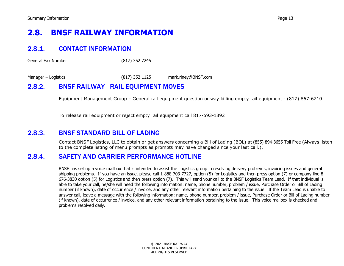# <span id="page-12-0"></span>**2.8. BNSF RAILWAY INFORMATION**

## <span id="page-12-1"></span>2.8.1. CONTACT INFORMATION

General Fax Number (817) 352 7245

Manager – Logistics (817) 352 1125 mark.riney@BNSF.com

#### <span id="page-12-2"></span>2.8.2. BNSF RAILWAY - RAIL EQUIPMENT MOVES

Equipment Management Group – General rail equipment question or way billing empty rail equipment - (817) 867-6210

To release rail equipment or reject empty rail equipment call 817-593-1892

#### <span id="page-12-3"></span>2.8.3. BNSF STANDARD BILL OF LADING

Contact BNSF Logistics, LLC to obtain or get answers concerning a Bill of Lading (BOL) at (855) 894-3655 Toll Free (Always listen to the complete listing of menu prompts as prompts may have changed since your last call.).

#### <span id="page-12-4"></span>2.8.4. SAFETY AND CARRIER PERFORMANCE HOTLINE

BNSF has set up a voice mailbox that is intended to assist the Logistics group in resolving delivery problems, invoicing issues and general shipping problems. If you have an issue, please call 1-888-703-7727, option (5) for Logistics and then press option (7) or company line 8- 676-3830 option (5) for Logistics and then press option (7). This will send your call to the BNSF Logistics Team Lead. If that individual is able to take your call, he/she will need the following information: name, phone number, problem / issue, Purchase Order or Bill of Lading number (if known), date of occurrence / invoice, and any other relevant information pertaining to the issue. If the Team Lead is unable to answer call, leave a message with the following information: name, phone number, problem / issue, Purchase Order or Bill of Lading number (if known), date of occurrence / invoice, and any other relevant information pertaining to the issue. This voice mailbox is checked and problems resolved daily.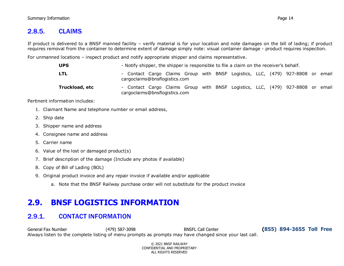### <span id="page-13-0"></span>2.8.5. CLAIMS

If product is delivered to a BNSF manned facility – verify material is for your location and note damages on the bill of lading; if product requires removal from the container to determine extent of damage simply note: visual container damage - product requires inspection.

For unmanned locations – inspect product and notify appropriate shipper and claims representative.

| <b>UPS</b>     | - Notify shipper, the shipper is responsible to file a claim on the receiver's behalf.                          |  |  |  |  |  |  |
|----------------|-----------------------------------------------------------------------------------------------------------------|--|--|--|--|--|--|
| <b>LTL</b>     | - Contact Cargo Claims Group with BNSF Logistics, LLC, (479) 927-8808 or email<br>cargoclaims@bnsflogistics.com |  |  |  |  |  |  |
| Truckload, etc | - Contact Cargo Claims Group with BNSF Logistics, LLC, (479) 927-8808 or email<br>cargoclaims@bnsflogistics.com |  |  |  |  |  |  |

Pertinent information includes:

- 1. Claimant Name and telephone number or email address,
- 2. Ship date
- 3. Shipper name and address
- 4. Consignee name and address
- 5. Carrier name
- 6. Value of the lost or damaged product(s)
- 7. Brief description of the damage (Include any photos if available)
- 8. Copy of Bill of Lading (BOL)
- 9. Original product invoice and any repair invoice if available and/or applicable
	- a. Note that the BNSF Railway purchase order will not substitute for the product invoice

# <span id="page-13-1"></span>**2.9. BNSF LOGISTICS INFORMATION**

## <span id="page-13-2"></span>2.9.1. CONTACT INFORMATION

General Fax Number (479) 587-3098 BNSFL Call Center **(855) 894-3655 Toll Free** Always listen to the complete listing of menu prompts as prompts may have changed since your last call.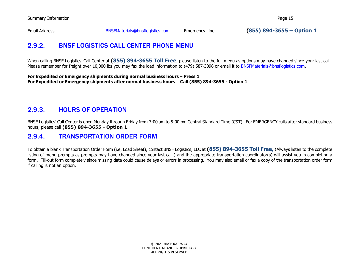<span id="page-14-0"></span>

Email Address [BNSFMaterials@bnsflogistics.com](mailto:BNSFMaterials@bnsflogistics.com) Emergency Line **(855) 894-3655 – Option 1**

## 2.9.2. BNSF LOGISTICS CALL CENTER PHONE MENU

When calling BNSF Logistics' Call Center at **(855) 894-3655 Toll Free**, please listen to the full menu as options may have changed since your last call. Please remember for freight over 10,000 lbs you may fax the load information to (479) 587-3098 or email it to [BNSFMaterials@bnsflogistics.com.](mailto:BNSFMaterials@bnsflogistics.com)

**For Expedited or Emergency shipments during normal business hours** – **Press 1 For Expedited or Emergency shipments after normal business hours** – **Call (855) 894-3655 - Option 1**

## <span id="page-14-1"></span>2.9.3. HOURS OF OPERATION

BNSF Logistics' Call Center is open Monday through Friday from 7:00 am to 5:00 pm Central Standard Time (CST). For EMERGENCY calls after standard business hours, please call **(855) 894-3655 - Option 1**.

#### <span id="page-14-2"></span>2.9.4. TRANSPORTATION ORDER FORM

To obtain a blank Transportation Order Form (i.e, Load Sheet), contact BNSF Logistics, LLC at **(855) 894-3655 Toll Free,** (Always listen to the complete listing of menu prompts as prompts may have changed since your last call.) and the appropriate transportation coordinator(s) will assist you in completing a form. Fill-out form completely since missing data could cause delays or errors in processing. You may also email or fax a copy of the transportation order form if calling is not an option.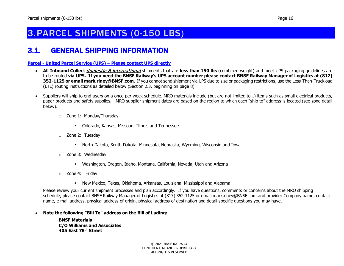# <span id="page-15-0"></span>3.PARCEL SHIPMENTS (0-150 LBS)

# <span id="page-15-1"></span>3.1. GENERAL SHIPPING INFORMATION

#### **Parcel - [United Parcel Service \(UPS\) –](#page-15-0) Please contact UPS directly**

- **All Inbound Collect** domestic & international shipments that are **less than 150 lbs** (combined weight) and meet UPS packaging guidelines are to be routed **via UPS. If you need the BNSF Railway's UPS account number please contact BNSF Railway Manager of Logistics at (817) 352-1125 or email mark.riney@BNSF.com.** If you cannot send shipment via UPS due to size or packaging restrictions, use the Less-Than-Truckload (LTL) routing instructions as detailed below (Section 2.3, beginning on page 8).
- Suppliers will ship to end-users on a once-per-week schedule. MRO materials include (but are not limited to…) items such as small electrical products, paper products and safety supplies. MRO supplier shipment dates are based on the region to which each "ship to" address is located (see zone detail below).
	- o Zone 1: Monday/Thursday
		- Colorado, Kansas, Missouri, Illinois and Tennessee
	- o Zone 2: Tuesday
		- North Dakota, South Dakota, Minnesota, Nebraska, Wyoming, Wisconsin and Iowa
	- o Zone 3: Wednesday
		- Washington, Oregon, Idaho, Montana, California, Nevada, Utah and Arizona
	- o Zone 4: Friday
		- New Mexico, Texas, Oklahoma, Arkansas, Louisiana. Mississippi and Alabama

Please review your current shipment processes and plan accordingly. If you have questions, comments or concerns about the MRO shipping schedule, please contact BNSF Railway Manager of Logistics at (817) 352-1125 or email mark.riney@BNSF.com and provide: Company name, contact name, e-mail address, physical address of origin, physical address of destination and detail specific questions you may have.

#### • **Note the following "Bill To" address on the Bill of Lading:**

**BNSF Materials C/O Williams and Associates 405 East 78th Street**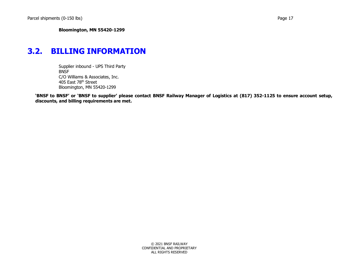# <span id="page-16-0"></span>**3.2. BILLING INFORMATION**

Supplier inbound - UPS Third Party BNSF C/O Williams & Associates, Inc. 405 East 78th Street Bloomington, MN 55420-1299

**'BNSF to BNSF' or 'BNSF to supplier' please contact BNSF Railway Manager of Logistics at (817) 352-1125 to ensure account setup, discounts, and billing requirements are met.**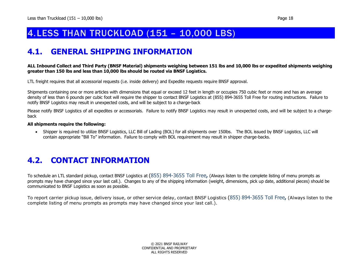# <span id="page-17-0"></span>4.LESS THAN TRUCKLOAD (151 – 10,000 LBS)

## <span id="page-17-1"></span>**4.1. GENERAL SHIPPING INFORMATION**

#### **ALL Inbound Collect and Third Party (BNSF Material) shipments weighing between 151 lbs and 10,000 lbs or expedited shipments weighing greater than 150 lbs and less than 10,000 lbs should be routed via BNSF Logistics.**

LTL freight requires that all accessorial requests (i.e. inside delivery) and Expedite requests require BNSF approval.

Shipments containing one or more articles with dimensions that equal or exceed 12 feet in length or occupies 750 cubic feet or more and has an average density of less than 6 pounds per cubic foot will require the shipper to contact BNSF Logistics at (855) 894-3655 Toll Free for routing instructions. Failure to notify BNSF Logistics may result in unexpected costs, and will be subject to a charge-back

Please notify BNSF Logistics of all expedites or accessorials. Failure to notify BNSF Logistics may result in unexpected costs, and will be subject to a chargeback

#### **All shipments require the following:**

• Shipper is required to utilize BNSF Logistics, LLC Bill of Lading (BOL) for all shipments over 150lbs. The BOL issued by BNSF Logistics, LLC will contain appropriate "Bill To" information. Failure to comply with BOL requirement may result in shipper charge-backs.

## <span id="page-17-2"></span>**4.2. CONTACT INFORMATION**

To schedule an LTL standard pickup, contact BNSF Logistics at (855) 894-3655 Toll Free**,** (Always listen to the complete listing of menu prompts as prompts may have changed since your last call.). Changes to any of the shipping information (weight, dimensions, pick up date, additional pieces) should be communicated to BNSF Logistics as soon as possible.

To report carrier pickup issue, delivery issue, or other service delay, contact BNSF Logistics (855) 894-3655 Toll Free**,** (Always listen to the complete listing of menu prompts as prompts may have changed since your last call.).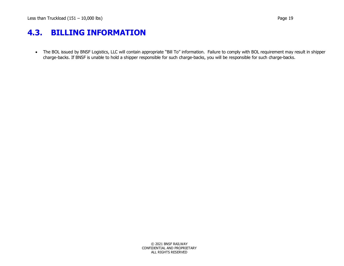# <span id="page-18-0"></span>**4.3. BILLING INFORMATION**

• The BOL issued by BNSF Logistics, LLC will contain appropriate "Bill To" information. Failure to comply with BOL requirement may result in shipper charge-backs. If BNSF is unable to hold a shipper responsible for such charge-backs, you will be responsible for such charge-backs.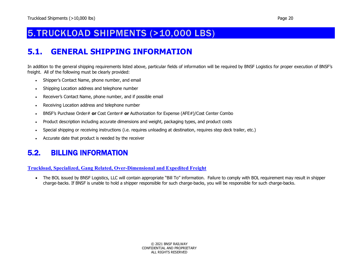# <span id="page-19-0"></span>5.TRUCKLOAD SHIPMENTS (>10,000 LBS)

# <span id="page-19-1"></span>**5.1. GENERAL SHIPPING INFORMATION**

In addition to the general shipping requirements listed above, particular fields of information will be required by BNSF Logistics for proper execution of BNSF's freight. All of the following must be clearly provided:

- Shipper's Contact Name, phone number, and email
- Shipping Location address and telephone number
- Receiver's Contact Name, phone number, and if possible email
- Receiving Location address and telephone number
- BNSF's Purchase Order# **or** Cost Center# **or** Authorization for Expense (AFE#)/Cost Center Combo
- Product description including accurate dimensions and weight, packaging types, and product costs
- Special shipping or receiving instructions (i.e. requires unloading at destination, requires step deck trailer, etc.)
- Accurate date that product is needed by the receiver

## <span id="page-19-2"></span>5.2. BILLING INFORMATION

#### **[Truckload, Specialized, Gang Related, Over-Dimensional](#page-19-0) and Expedited Freight**

• The BOL issued by BNSF Logistics, LLC will contain appropriate "Bill To" information. Failure to comply with BOL requirement may result in shipper charge-backs. If BNSF is unable to hold a shipper responsible for such charge-backs, you will be responsible for such charge-backs.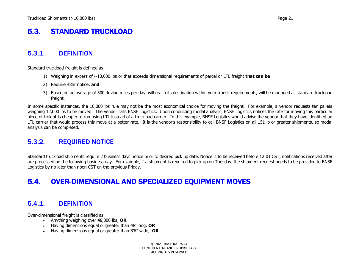# <span id="page-20-0"></span>5.3. STANDARD TRUCKLOAD

#### <span id="page-20-1"></span>5.3.1. DEFINITION

Standard truckload freight is defined as

- 1) Weighing in excess of ~10,000 lbs or that exceeds dimensional requirements of parcel or LTL freight **that can be**
- 2) Require 48hr notice, **and**
- 3) Based on an average of 500 driving miles per day, will reach its destination within your transit requirements**,** will be managed as standard truckload freight.

In some specific instances, the 10,000 lbs rule may not be the most economical choice for moving the freight. For example, a vendor requests ten pallets weighing 12,000 lbs to be moved. The vendor calls BNSF Logistics. Upon conducting modal analysis, BNSF Logistics notices the rate for moving this particular piece of freight is cheaper to run using LTL instead of a truckload carrier. In this example, BNSF Logistics would advise the vendor that they have identified an LTL carrier that would process this move at a better rate. It is the vendor's responsibility to call BNSF Logistics on all 151 lb or greater shipments, so modal analysis can be completed.

## <span id="page-20-2"></span>5.3.2. REQUIRED NOTICE

Standard truckload shipments require 2 business days notice prior to desired pick up date. Notice is to be received before 12:01 CST, notifications received after are processed on the following business day. For example, if a shipment is required to pick up on Tuesday, the shipment request needs to be provided to BNSF Logistics by no later than noon CST on the previous Friday.

# <span id="page-20-3"></span>5.4. OVER-DIMENSIONAL AND SPECIALIZED EQUIPMENT MOVES

## <span id="page-20-4"></span>5.4.1. DEFINITION

Over-dimensional freight is classified as:

- Anything weighing over 48,000 lbs, **OR**
- Having dimensions equal or greater than 48' long, **OR**
- Having dimensions equal or greater than 8'6" wide, **OR**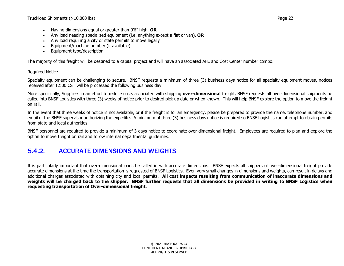- Having dimensions equal or greater than 9'6" high, **OR**
- Any load needing specialized equipment (i.e. anything except a flat or van)**, OR**
- Any load requiring a city or state permits to move legally
- Equipment/machine number (if available)
- Equipment type/description

The majority of this freight will be destined to a capital project and will have an associated AFE and Cost Center number combo.

#### Required Notice

Specialty equipment can be challenging to secure. BNSF requests a minimum of three (3) business days notice for all specialty equipment moves, notices received after 12:00 CST will be processed the following business day.

More specifically, Suppliers in an effort to reduce costs associated with shipping **over-dimensional** freight, BNSF requests all over-dimensional shipments be called into BNSF Logistics with three (3) weeks of notice prior to desired pick up date or when known. This will help BNSF explore the option to move the freight on rail.

In the event that three weeks of notice is not available, or if the freight is for an emergency, please be prepared to provide the name, telephone number, and email of the BNSF supervisor authorizing the expedite. A minimum of three (3) business days notice is required so BNSF Logistics can attempt to obtain permits from state and local authorities.

BNSF personnel are required to provide a minimum of 3 days notice to coordinate over-dimensional freight. Employees are required to plan and explore the option to move freight on rail and follow internal departmental guidelines.

## <span id="page-21-0"></span>5.4.2. ACCURATE DIMENSIONS AND WEIGHTS

It is particularly important that over-dimensional loads be called in with accurate dimensions. BNSF expects all shippers of over-dimensional freight provide accurate dimensions at the time the transportation is requested of BNSF Logistics. Even very small changes in dimensions and weights, can result in delays and additional charges associated with obtaining city and local permits. **All cost impacts resulting from communication of inaccurate dimensions and weights will be charged back to the shipper. BNSF further requests that all dimensions be provided in writing to BNSF Logistics when requesting transportation of Over-dimensional freight.**